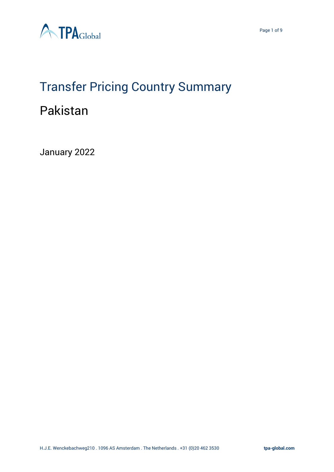

### Transfer Pricing Country Summary

### Pakistan

January 2022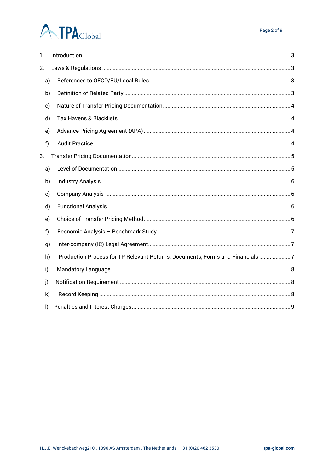# **ATPA**Global

| 1. |    |                                                                               |
|----|----|-------------------------------------------------------------------------------|
| 2. |    |                                                                               |
| a) |    |                                                                               |
|    | b) |                                                                               |
| c) |    |                                                                               |
|    | d) |                                                                               |
| e) |    |                                                                               |
| f) |    |                                                                               |
| 3. |    |                                                                               |
| a) |    |                                                                               |
|    | b) |                                                                               |
| c) |    |                                                                               |
| d) |    |                                                                               |
| e) |    |                                                                               |
| f) |    |                                                                               |
| g) |    |                                                                               |
| h) |    | Production Process for TP Relevant Returns, Documents, Forms and Financials 7 |
| i) |    |                                                                               |
| j) |    |                                                                               |
| k) |    |                                                                               |
| I) |    |                                                                               |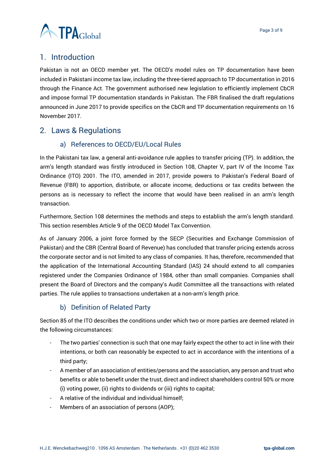

### <span id="page-2-0"></span>1. Introduction

Pakistan is not an OECD member yet. The OECD's model rules on TP documentation have been included in Pakistani income tax law, including the three-tiered approach to TP documentation in 2016 through the Finance Act. The government authorised new legislation to efficiently implement CbCR and impose formal TP documentation standards in Pakistan. The FBR finalised the draft regulations announced in June 2017 to provide specifics on the CbCR and TP documentation requirements on 16 November 2017.

### <span id="page-2-2"></span><span id="page-2-1"></span>2. Laws & Regulations

### a) References to OECD/EU/Local Rules

In the Pakistani tax law, a general anti-avoidance rule applies to transfer pricing (TP). In addition, the arm's length standard was firstly introduced in Section 108, Chapter V, part IV of the Income Tax Ordinance (ITO) 2001. The ITO, amended in 2017, provide powers to Pakistan's Federal Board of Revenue (FBR) to apportion, distribute, or allocate income, deductions or tax credits between the persons as is necessary to reflect the income that would have been realised in an arm's length transaction.

Furthermore, Section 108 determines the methods and steps to establish the arm's length standard. This section resembles Article 9 of the OECD Model Tax Convention.

As of January 2006, a joint force formed by the SECP (Securities and Exchange Commission of Pakistan) and the CBR (Central Board of Revenue) has concluded that transfer pricing extends across the corporate sector and is not limited to any class of companies. It has, therefore, recommended that the application of the International Accounting Standard (IAS) 24 should extend to all companies registered under the Companies Ordinance of 1984, other than small companies. Companies shall present the Board of Directors and the company's Audit Committee all the transactions with related parties. The rule applies to transactions undertaken at a non-arm's length price.

### b) Definition of Related Party

<span id="page-2-3"></span>Section 85 of the ITO describes the conditions under which two or more parties are deemed related in the following circumstances:

- The two parties' connection is such that one may fairly expect the other to act in line with their intentions, or both can reasonably be expected to act in accordance with the intentions of a third party;
- A member of an association of entities/persons and the association, any person and trust who benefits or able to benefit under the trust, direct and indirect shareholders control 50% or more (i) voting power, (ii) rights to dividends or (iii) rights to capital;
- A relative of the individual and individual himself;
- Members of an association of persons (AOP);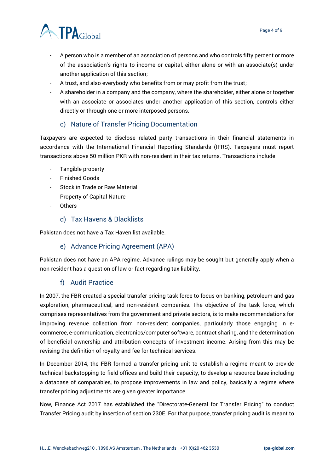

- A person who is a member of an association of persons and who controls fifty percent or more of the association's rights to income or capital, either alone or with an associate(s) under another application of this section;
- A trust, and also everybody who benefits from or may profit from the trust;
- A shareholder in a company and the company, where the shareholder, either alone or together with an associate or associates under another application of this section, controls either directly or through one or more interposed persons.

### c) Nature of Transfer Pricing Documentation

<span id="page-3-0"></span>Taxpayers are expected to disclose related party transactions in their financial statements in accordance with the International Financial Reporting Standards (IFRS). Taxpayers must report transactions above 50 million PKR with non-resident in their tax returns. Transactions include:

- Tangible property
- Finished Goods
- Stock in Trade or Raw Material
- Property of Capital Nature
- Others

### d) Tax Havens & Blacklists

<span id="page-3-2"></span><span id="page-3-1"></span>Pakistan does not have a Tax Haven list available.

### e) Advance Pricing Agreement (APA)

Pakistan does not have an APA regime. Advance rulings may be sought but generally apply when a non-resident has a question of law or fact regarding tax liability.

### f) Audit Practice

<span id="page-3-3"></span>In 2007, the FBR created a special transfer pricing task force to focus on banking, petroleum and gas exploration, pharmaceutical, and non-resident companies. The objective of the task force, which comprises representatives from the government and private sectors, is to make recommendations for improving revenue collection from non-resident companies, particularly those engaging in ecommerce, e-communication, electronics/computer software, contract sharing, and the determination of beneficial ownership and attribution concepts of investment income. Arising from this may be revising the definition of royalty and fee for technical services.

In December 2014, the FBR formed a transfer pricing unit to establish a regime meant to provide technical backstopping to field offices and build their capacity, to develop a resource base including a database of comparables, to propose improvements in law and policy, basically a regime where transfer pricing adjustments are given greater importance.

Now, Finance Act 2017 has established the "Directorate-General for Transfer Pricing" to conduct Transfer Pricing audit by insertion of section 230E. For that purpose, transfer pricing audit is meant to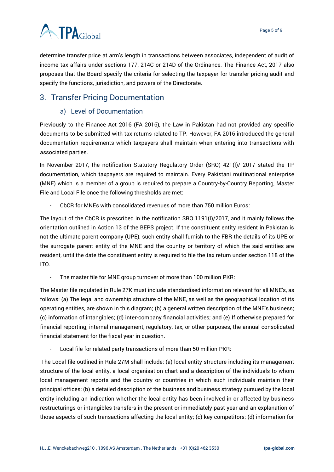

determine transfer price at arm's length in transactions between associates, independent of audit of income tax affairs under sections 177, 214C or 214D of the Ordinance. The Finance Act, 2017 also proposes that the Board specify the criteria for selecting the taxpayer for transfer pricing audit and specify the functions, jurisdiction, and powers of the Directorate.

### <span id="page-4-1"></span><span id="page-4-0"></span>3. Transfer Pricing Documentation

### a) Level of Documentation

Previously to the Finance Act 2016 (FA 2016), the Law in Pakistan had not provided any specific documents to be submitted with tax returns related to TP. However, FA 2016 introduced the general documentation requirements which taxpayers shall maintain when entering into transactions with associated parties.

In November 2017, the notification Statutory Regulatory Order (SRO) 421(I)/ 2017 stated the TP documentation, which taxpayers are required to maintain. Every Pakistani multinational enterprise (MNE) which is a member of a group is required to prepare a Country-by-Country Reporting, Master File and Local File once the following thresholds are met:

- CbCR for MNEs with consolidated revenues of more than 750 million Euros:

The layout of the CbCR is prescribed in the notification SRO 1191(I)/2017, and it mainly follows the orientation outlined in Action 13 of the BEPS project. If the constituent entity resident in Pakistan is not the ultimate parent company (UPE), such entity shall furnish to the FBR the details of its UPE or the surrogate parent entity of the MNE and the country or territory of which the said entities are resident, until the date the constituent entity is required to file the tax return under section 118 of the ITO.

The master file for MNE group turnover of more than 100 million PKR:

The Master file regulated in Rule 27K must include standardised information relevant for all MNE's, as follows: (a) The legal and ownership structure of the MNE, as well as the geographical location of its operating entities, are shown in this diagram; (b) a general written description of the MNE's business; (c) information of intangibles; (d) inter-company financial activities; and (e) If otherwise prepared for financial reporting, internal management, regulatory, tax, or other purposes, the annual consolidated financial statement for the fiscal year in question.

Local file for related party transactions of more than 50 million PKR:

The Local file outlined in Rule 27M shall include: (a) local entity structure including its management structure of the local entity, a local organisation chart and a description of the individuals to whom local management reports and the country or countries in which such individuals maintain their principal offices; (b) a detailed description of the business and business strategy pursued by the local entity including an indication whether the local entity has been involved in or affected by business restructurings or intangibles transfers in the present or immediately past year and an explanation of those aspects of such transactions affecting the local entity; (c) key competitors; (d) information for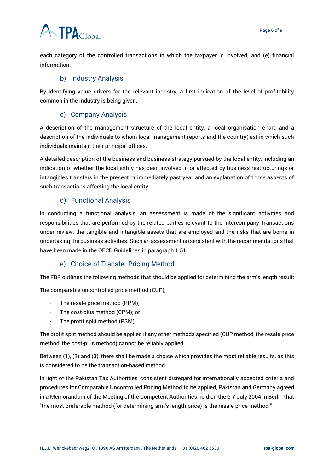## **ATPA**Global

each category of the controlled transactions in which the taxpayer is involved; and (e) financial information.

### b) Industry Analysis

<span id="page-5-0"></span>By identifying value drivers for the relevant industry, a first indication of the level of profitability common in the industry is being given.

### c) Company Analysis

<span id="page-5-1"></span>A description of the management structure of the local entity, a local organisation chart, and a description of the individuals to whom local management reports and the country(ies) in which such individuals maintain their principal offices.

A detailed description of the business and business strategy pursued by the local entity, including an indication of whether the local entity has been involved in or affected by business restructurings or intangibles transfers in the present or immediately past year and an explanation of those aspects of such transactions affecting the local entity.

### d) Functional Analysis

<span id="page-5-2"></span>In conducting a functional analysis, an assessment is made of the significant activities and responsibilities that are performed by the related parties relevant to the Intercompany Transactions under review, the tangible and intangible assets that are employed and the risks that are borne in undertaking the business activities. Such an assessment is consistent with the recommendations that have been made in the OECD Guidelines in paragraph 1.51.

### e) Choice of Transfer Pricing Method

<span id="page-5-3"></span>The FBR outlines the following methods that should be applied for determining the arm's length result:

The comparable uncontrolled price method (CUP);

- The resale price method (RPM);
- The cost-plus method (CPM); or
- The profit split method (PSM).

The profit split method should be applied if any other methods specified (CUP method, the resale price method, the cost-plus method) cannot be reliably applied.

Between (1), (2) and (3), there shall be made a choice which provides the most reliable results, as this is considered to be the transaction-based method.

In light of the Pakistan Tax Authorities' consistent disregard for internationally accepted criteria and procedures for Comparable Uncontrolled Pricing Method to be applied, Pakistan and Germany agreed in a Memorandum of the Meeting of the Competent Authorities held on the 6-7 July 2004 in Berlin that "the most preferable method (for determining arm's length price) is the resale price method."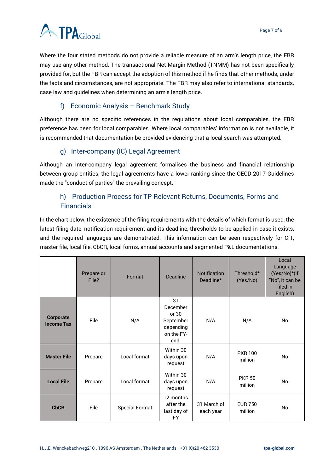

Where the four stated methods do not provide a reliable measure of an arm's length price, the FBR may use any other method. The transactional Net Margin Method (TNMM) has not been specifically provided for, but the FBR can accept the adoption of this method if he finds that other methods, under the facts and circumstances, are not appropriate. The FBR may also refer to international standards, case law and guidelines when determining an arm's length price.

### f) Economic Analysis – Benchmark Study

<span id="page-6-0"></span>Although there are no specific references in the regulations about local comparables, the FBR preference has been for local comparables. Where local comparables' information is not available, it is recommended that documentation be provided evidencing that a local search was attempted.

### g) Inter-company (IC) Legal Agreement

<span id="page-6-1"></span>Although an Inter-company legal agreement formalises the business and financial relationship between group entities, the legal agreements have a lower ranking since the OECD 2017 Guidelines made the "conduct of parties" the prevailing concept.

### <span id="page-6-2"></span>h) Production Process for TP Relevant Returns, Documents, Forms and **Financials**

In the chart below, the existence of the filing requirements with the details of which format is used, the latest filing date, notification requirement and its deadline, thresholds to be applied in case it exists, and the required languages are demonstrated. This information can be seen respectively for CIT, master file, local file, CbCR, local forms, annual accounts and segmented P&L documentations.

|                                       | Prepare or<br>File? | Format                | <b>Deadline</b>                                                         | <b>Notification</b><br>Deadline* | Threshold*<br>(Yes/No)    | Local<br>Language<br>(Yes/No)*(If<br>"No", it can be<br>filed in<br>English) |
|---------------------------------------|---------------------|-----------------------|-------------------------------------------------------------------------|----------------------------------|---------------------------|------------------------------------------------------------------------------|
| <b>Corporate</b><br><b>Income Tax</b> | File                | N/A                   | 31<br>December<br>or 30<br>September<br>depending<br>on the FY-<br>end. | N/A                              | N/A                       | <b>No</b>                                                                    |
| <b>Master File</b>                    | Prepare             | Local format          | Within 30<br>days upon<br>request                                       | N/A                              | <b>PKR 100</b><br>million | No                                                                           |
| <b>Local File</b>                     | Prepare             | Local format          | Within 30<br>days upon<br>request                                       | N/A                              | <b>PKR 50</b><br>million  | No                                                                           |
| <b>CbCR</b>                           | File                | <b>Special Format</b> | 12 months<br>after the<br>last day of<br>FY                             | 31 March of<br>each year         | <b>EUR 750</b><br>million | No                                                                           |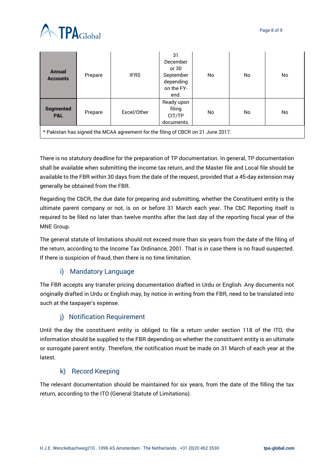

| <b>Annual</b><br><b>Accounts</b>                                                 | Prepare | <b>IFRS</b> | 31<br>December<br>or 30<br>September<br>depending<br>on the FY-<br>end. | No | No | No |  |  |  |
|----------------------------------------------------------------------------------|---------|-------------|-------------------------------------------------------------------------|----|----|----|--|--|--|
| <b>Segmented</b><br>P&L                                                          | Prepare | Excel/Other | Ready upon<br>filing<br>CIT/TP<br>documents.                            | No | No | No |  |  |  |
| * Pakistan has signed the MCAA agreement for the filing of CBCR on 21 June 2017. |         |             |                                                                         |    |    |    |  |  |  |

There is no statutory deadline for the preparation of TP documentation. In general, TP documentation shall be available when submitting the income tax return, and the Master file and Local file should be available to the FBR within 30 days from the date of the request, provided that a 45-day extension may generally be obtained from the FBR.

Regarding the CbCR, the due date for preparing and submitting, whether the Constituent entity is the ultimate parent company or not, is on or before 31 March each year. The CbC Reporting itself is required to be filed no later than twelve months after the last day of the reporting fiscal year of the MNE Group.

The general statute of limitations should not exceed more than six years from the date of the filing of the return, according to the Income Tax Ordinance, 2001. That is in case there is no fraud suspected. If there is suspicion of fraud, then there is no time limitation.

### i) Mandatory Language

<span id="page-7-0"></span>The FBR accepts any transfer pricing documentation drafted in Urdu or English. Any documents not originally drafted in Urdu or English may, by notice in writing from the FBR, need to be translated into such at the taxpayer's expense.

### j) Notification Requirement

<span id="page-7-1"></span>Until the day the constituent entity is obliged to file a return under section 118 of the ITO, the information should be supplied to the FBR depending on whether the constituent entity is an ultimate or surrogate parent entity. Therefore, the notification must be made on 31 March of each year at the latest.

### k) Record Keeping

<span id="page-7-2"></span>The relevant documentation should be maintained for six years, from the date of the filling the tax return, according to the ITO (General Statute of Limitations).